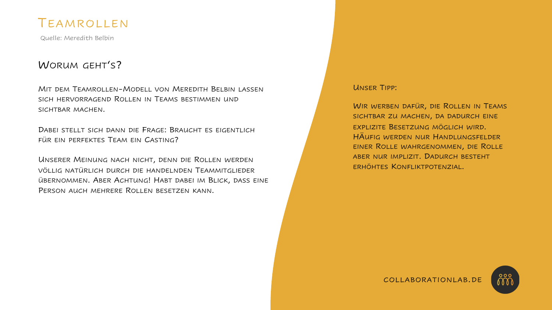### TEAMROLLEN

Quelle: Meredith Belbin

#### WORUM GEHT'S?

MIT DEM TEAMROLLEN-MODELL VON MEREDITH BELBIN LASSEN SICH HERVORRAGEND ROLLEN IN TEAMS BESTIMMEN UND SICHTBAR MACHEN.

DABEI STELLT SICH DANN DIE FRAGE: BRAUCHT ES EIGENTLICH FÜR EIN PERFEKTES TEAM EIN CASTING?

UNSERER MEINUNG NACH NICHT, DENN DIE ROLLEN WERDEN VÖLLIG NATÜRLICH DURCH DIE HANDELNDEN TEAMMITGLIEDER ÜBERNOMMEN. ABER ACHTUNG! HABT DABEI IM BLICK, DASS EINE PERSON AUCH MEHRERE ROLLEN BESETZEN KANN.

#### UNSER TIPP:

WIR WERBEN DAFÜR, DIE ROLLEN IN TEAMS SICHTBAR ZU MACHEN, DA DADURCH EINE EXPLIZITE BESETZUNG MÖGLICH WIRD. HÄUFIG WERDEN NUR HANDLUNGSFELDER EINER ROLLE WAHRGENOMMEN, DIE ROLLE ABER NUR IMPLIZIT. DADURCH BESTEHT ERHÖHTES KONFLIKTPOTENZIAL.



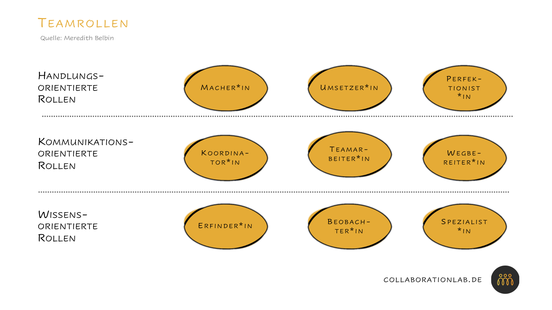

Quelle: Meredith Belbin



កំកំកំ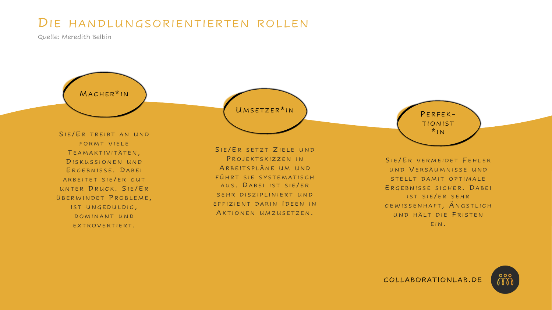# DIE HANDLUNGSORIENTIERTEN ROLLEN

Quelle: Meredith Belbin

MACHER<sup>\*</sup>IN

SIE/ER TREIBT AN UND FORMT VIELE T EAMAKTIVITÄTEN , DISKUSSIONEN UND ERGEBNISSE. DABEI ARBEITET SIE/ER GUT UNTER DRUCK. SIE/ER ÜBERWINDET PROBLEME, IST UNGEDULDIG, DOMINANT UND EXTROVERTIERT.

UMSETZER\*IN ) PERFEK-

SIE/ER SETZT ZIELE UND PROJEKTSKIZZEN IN ARBEITSPLÄNE UM UND FÜHRT SIE SYSTEMATISCH AUS. DABEI IST SIE/ER SEHR DISZIPLINIERT UND EFFIZIENT DARIN IDEEN IN AKTIONEN UMZUSETZEN.

TIONIST  $*_{IN}$ 

SIE/ER VERMEIDET FEHLER UND V ERSÄUMNISSE UND STELLT DAMIT OPTIMALE E RGEBNISSE SICHER . D ABEI IST SIE/ER SEHR GEWISSENHAFT, ÄNGSTLICH UND HÄLT DIE F RISTEN EIN .

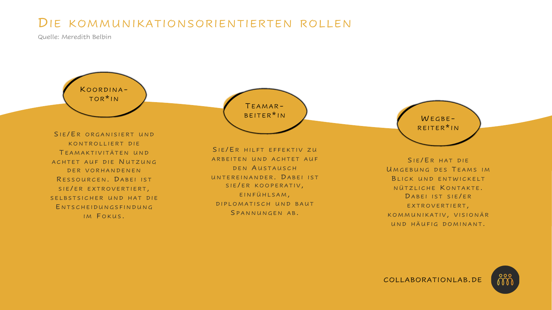# DIE KOMMUNIKATIONSORIENTIERTEN ROLLEN

Quelle: Meredith Belbin

K OORDINA - TOR \* I N

SIE/ER ORGANISIERT UND KONTROLLIERT DIE T EAMAKTIVITÄTEN UND ACHTET AUF DIE N UTZUNG DER VORHANDENEN RESSOURCEN DABEL IST SIE/ER EXTROVERTIERT, SELBSTSICHER UND HAT DIE E NTSCHEIDUNGSFINDUNG IM FOKUS.

TEAMAR-<br>BEITER<sup>\*</sup>IN

SIE/ER HILFT EFFEKTIV ZU ARBEITEN UND ACHTET AUF DEN AUSTAUSCH UNTEREINANDER. DABEI IST SIE/ER KOOPERATIV, EINFÜHLSAM , DIPLOMATISCH UND BAUT SPANNUNGEN AB.

 $WEGBE-$ REITER \* I N

SIE/ER HAT DIE UMGEBUNG DES TEAMS IM BLICK UND ENTWICKELT NÜTZLICHE KONTAKTE. DABEI IST SIE/ER EXTROVERTIERT, KOMMUNIKATIV, VISIONÄR UND HÄUFIG DOMINANT.